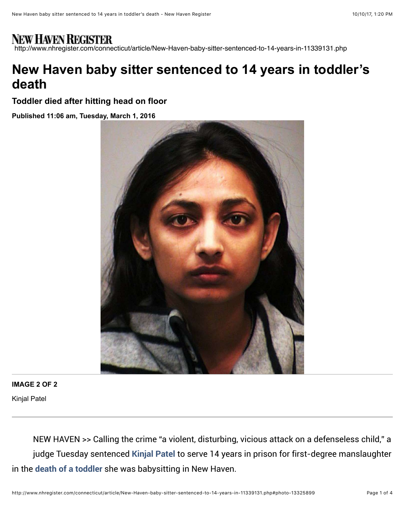## NEW HAVEN REGISTER

http://www.nhregister.com/connecticut/article/New-Haven-baby-sitter-sentenced-to-14-years-in-11339131.php

## **New Haven baby sitter sentenced to 14 years in toddler's death**

**Toddler died after hitting head on floor**

**Published 11:06 am, Tuesday, March 1, 2016**



## **IMAGE 2 OF 2**

Kinjal Patel

NEW HAVEN >> Calling the crime "a violent, disturbing, vicious attack on a defenseless child," a judge Tuesday sentenced [Kinjal Patel](http://www.nhregister.com/search/?action=search&channel=connecticut&inlineLink=1&searchindex=solr&query=%22Kinjal+Patel%22) to serve 14 years in prison for first-degree manslaughter in the [death of a toddler](http://www.nhregister.com/article/NH/20150826/NEWS/150829608) she was babysitting in New Haven.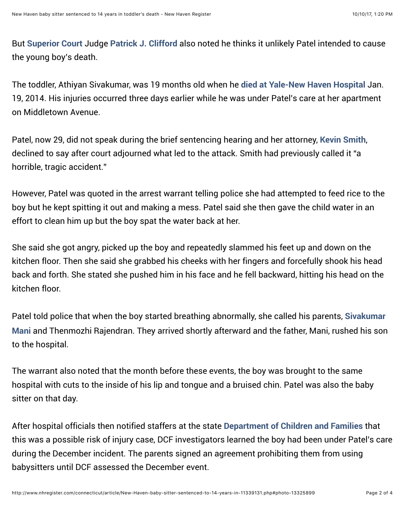But [Superior Court](http://www.nhregister.com/search/?action=search&channel=connecticut&inlineLink=1&searchindex=solr&query=%22Superior+Court%22) Judge [Patrick J. Clifford](http://www.nhregister.com/search/?action=search&channel=connecticut&inlineLink=1&searchindex=solr&query=%22Patrick+J.+Clifford%22) also noted he thinks it unlikely Patel intended to cause the young boy's death.

The toddler, Athiyan Sivakumar, was 19 months old when he [died at Yale-](http://www.nhregister.com/general-news/20140131/dcf-to-investigate-its-involvement-in-case-of-new-haven-toddlers-death)[New Haven Hospital](http://www.nhregister.com/search/?action=search&channel=connecticut&inlineLink=1&searchindex=solr&query=%22New+Haven+Hospital%22) Jan. 19, 2014. His injuries occurred three days earlier while he was under Patel's care at her apartment on Middletown Avenue.

Patel, now 29, did not speak during the brief sentencing hearing and her attorney, [Kevin Smith](http://www.nhregister.com/search/?action=search&channel=connecticut&inlineLink=1&searchindex=solr&query=%22Kevin+Smith%22), declined to say after court adjourned what led to the attack. Smith had previously called it "a horrible, tragic accident."

However, Patel was quoted in the arrest warrant telling police she had attempted to feed rice to the boy but he kept spitting it out and making a mess. Patel said she then gave the child water in an effort to clean him up but the boy spat the water back at her.

She said she got angry, picked up the boy and repeatedly slammed his feet up and down on the kitchen floor. Then she said she grabbed his cheeks with her fingers and forcefully shook his head back and forth. She stated she pushed him in his face and he fell backward, hitting his head on the kitchen floor.

Patel told police that when the boy started breathing abnormally, she called his parents, Sivakumar Mani [and Thenmozhi Rajendran. They arrived shortly afterward and the father, Mani, rushed his son](http://www.nhregister.com/search/?action=search&channel=connecticut&inlineLink=1&searchindex=solr&query=%22Sivakumar+Mani%22) to the hospital.

The warrant also noted that the month before these events, the boy was brought to the same hospital with cuts to the inside of his lip and tongue and a bruised chin. Patel was also the baby sitter on that day.

After hospital officials then notified staffers at the state [Department of Children and Families](http://www.nhregister.com/search/?action=search&channel=connecticut&inlineLink=1&searchindex=solr&query=%22Department+of+Children+and+Families%22) that this was a possible risk of injury case, DCF investigators learned the boy had been under Patel's care during the December incident. The parents signed an agreement prohibiting them from using babysitters until DCF assessed the December event.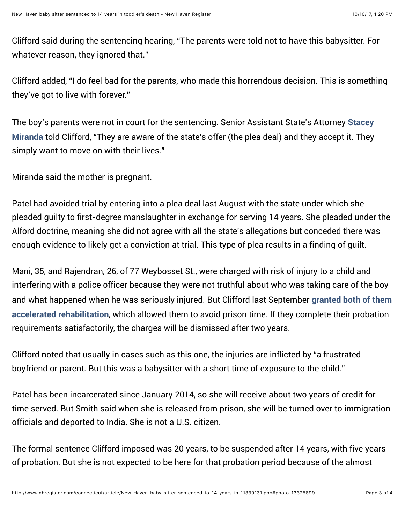Clifford said during the sentencing hearing, "The parents were told not to have this babysitter. For whatever reason, they ignored that."

Clifford added, "I do feel bad for the parents, who made this horrendous decision. This is something they've got to live with forever."

[The boy's parents were not in court for the sentencing. Senior Assistant State's Attorney](http://www.nhregister.com/search/?action=search&channel=connecticut&inlineLink=1&searchindex=solr&query=%22Stacey+Miranda%22) Stacey Miranda told Clifford, "They are aware of the state's offer (the plea deal) and they accept it. They simply want to move on with their lives."

Miranda said the mother is pregnant.

Patel had avoided trial by entering into a plea deal last August with the state under which she pleaded guilty to first-degree manslaughter in exchange for serving 14 years. She pleaded under the Alford doctrine, meaning she did not agree with all the state's allegations but conceded there was enough evidence to likely get a conviction at trial. This type of plea results in a finding of guilt.

Mani, 35, and Rajendran, 26, of 77 Weybosset St., were charged with risk of injury to a child and interfering with a police officer because they were not truthful about who was taking care of the boy [and what happened when he was seriously injured. But Clifford last September](http://www.nhregister.com/general-news/20150904/new-haven-couple-whose-toddler-son-died-in-baby-sitters-care-granted-probation) granted both of them accelerated rehabilitation, which allowed them to avoid prison time. If they complete their probation requirements satisfactorily, the charges will be dismissed after two years.

Clifford noted that usually in cases such as this one, the injuries are inflicted by "a frustrated boyfriend or parent. But this was a babysitter with a short time of exposure to the child."

Patel has been incarcerated since January 2014, so she will receive about two years of credit for time served. But Smith said when she is released from prison, she will be turned over to immigration officials and deported to India. She is not a U.S. citizen.

The formal sentence Clifford imposed was 20 years, to be suspended after 14 years, with five years of probation. But she is not expected to be here for that probation period because of the almost